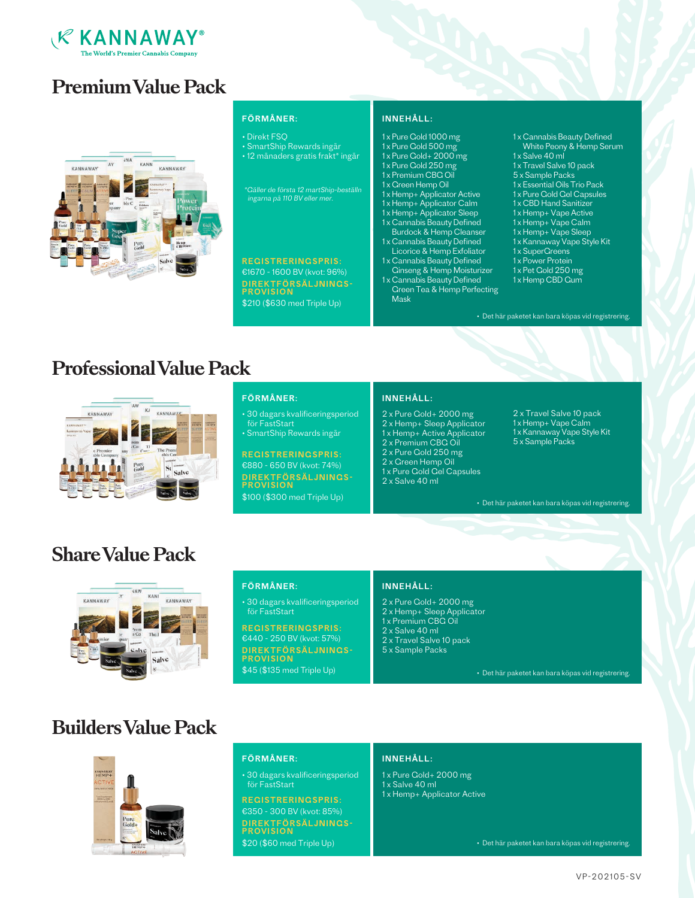

# **Premium Value Pack**



## FÖRMÅNER:

### • Direkt FSQ

• SmartShip Rewards ingår • 12 månaders gratis frakt\* ingår

\*Gäller de första 12 martShip-beställn ingarna på 110 BV eller mer.

€1670 - 1600 BV (kvot: 96%) REGISTRERINGSPRIS: DIREKTFÖRSÄLJNINGS-PROVISION \$210 (\$630 med Triple Up)

## INNEHÅLL:

- 1 x Pure Gold 1000 mg
- 1 x Pure Gold 500 mg
- 1 x Pure Gold+ 2000 mg 1 x Pure Gold 250 mg
- 1 x Premium CBG Oil
- 1 x Green Hemp Oil
- 1 x Hemp+ Applicator Active
- 1 x Hemp+ Applicator Calm
- 1 x Hemp+ Applicator Sleep
- 1 x Cannabis Beauty Defined Burdock & Hemp Cleanser
- 1 x Cannabis Beauty Defined
- Licorice & Hemp Exfoliator 1 x Cannabis Beauty Defined
- Ginseng & Hemp Moisturizer
- 1 x Cannabis Beauty Defined Green Tea & Hemp Perfecting Mask
- 1 x Cannabis Beauty Defined White Peony & Hemp Serum
- 1x Salve 40 ml
- 1 x Travel Salve 10 pack
- 5 x Sample Packs
- 1 x Essential Oils Trio Pack
- 1 x Pure Gold Gel Capsules
- 1 x CBD Hand Sanitizer
- 1 x Hemp+ Vape Active
- 1 x Hemp+ Vape Calm
- 1 x Hemp+ Vape Sleep 1 x Kannaway Vape Style Kit
- 1x SuperCreens
- 1x Power Protein
- 1x Pet Gold 250 mg
- 1 x Hemp CBD Gum

• Det här paketet kan bara köpas vid registrering.

# **Professional Value Pack**



## FÖRMÅNER:

• 30 dagars kvalificeringsperiod för FastStart

• SmartShip Rewards ingår

€880 - 650 BV (kvot: 74%) REGISTRERINGSPRIS: DIREKTFÖRSÄLJNINGS-<br>PROVISION \$100 (\$300 med Triple Up)

## INNEHÅLL:

- 2 x Pure Gold+ 2000 mg
- 2 x Hemp+ Sleep Applicator
- 1 x Hemp+ Active Applicator
- 2 x Premium CBG Oil
- 2 x Pure Gold 250 mg
- 2 x Green Hemp Oil
- 1 x Pure Gold Gel Capsules 2 x Salve 40 ml
- 1 x Hemp+ Vape Calm 1 x Kannaway Vape Style Kit 5 x Sample Packs

2 x Travel Salve 10 pack

• Det här paketet kan bara köpas vid registrering.

# **Share Value Pack**



• 30 dagars kvalificeringsperiod för FastStart

€440 - 250 BV (kvot: 57%) REGISTRERINGSPRIS:

\$45 (\$135 med Triple Up)

- 
- 2 x Hemp+ Sleep Applicator
- 1 x Premium CBG Oil
- 2 x Salve 40 ml
- 
- 

# **Builders Value Pack**



## FÖRMÅNER:

• 30 dagars kvalificeringsperiod för FastStart

€350 - 300 BV (kvot: 85%) REGISTRERINGSPRIS: DIREKTFÖRSÄLJNINGS-<br>PROVISION \$20 (\$60 med Triple Up)

### INNEHÅLL:

- 1 x Pure Gold+ 2000 mg
- 1 x Salve 40 ml
- 1 x Hemp+ Applicator Active

• Det här paketet kan bara köpas vid registrering.

# FÖRMÅNER:

DIREKTFÖRSÄLJNINGS-PROVISION

# INNEHÅLL:

- 2 x Pure Gold+ 2000 mg
	-
	-
- 2 x Travel Salve 10 pack
- 5 x Sample Packs

• Det här paketet kan bara köpas vid registrering.